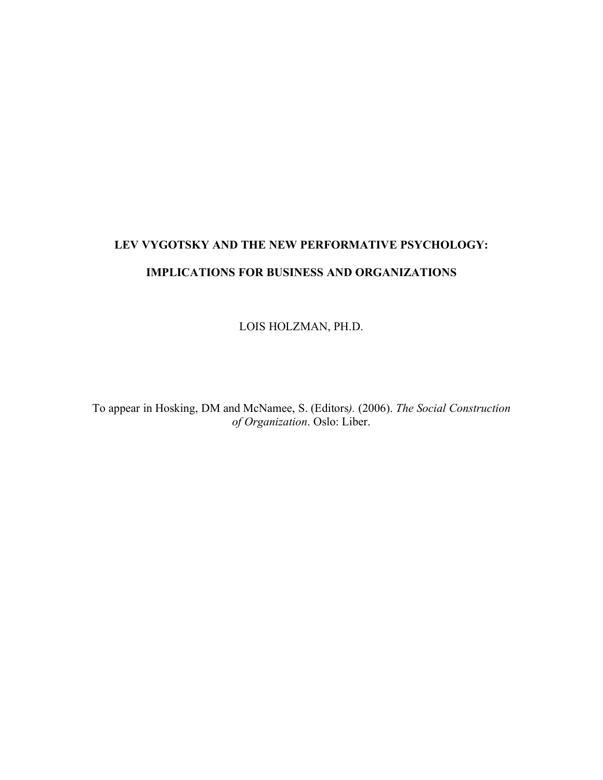# **LEV VYGOTSKY AND THE NEW PERFORMATIVE PSYCHOLOGY: IMPLICATIONS FOR BUSINESS AND ORGANIZATIONS**

LOIS HOLZMAN, PH.D.

To appear in Hosking, DM and McNamee, S. (Editors*).* (2006). *The Social Construction of Organization*. Oslo: Liber.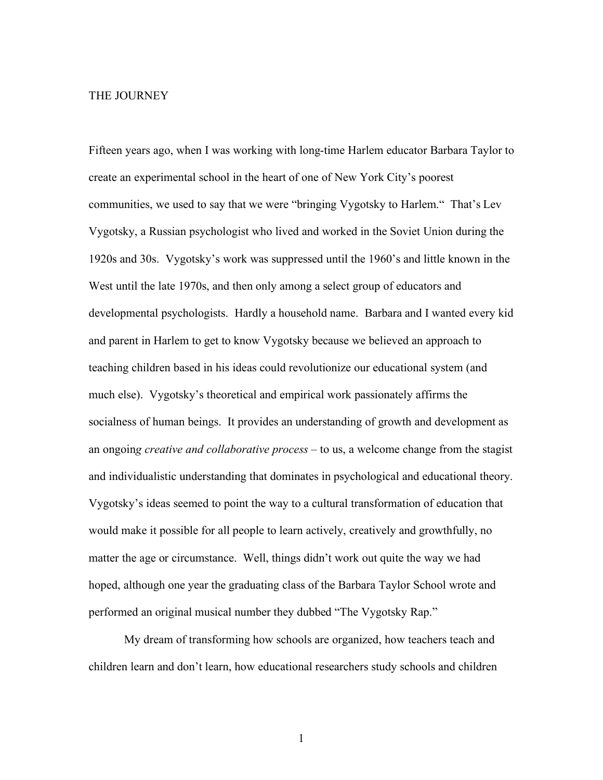#### THE JOURNEY

Fifteen years ago, when I was working with long-time Harlem educator Barbara Taylor to create an experimental school in the heart of one of New York City's poorest communities, we used to say that we were "bringing Vygotsky to Harlem." That's Lev Vygotsky, a Russian psychologist who lived and worked in the Soviet Union during the 1920s and 30s. Vygotsky's work was suppressed until the 1960's and little known in the West until the late 1970s, and then only among a select group of educators and developmental psychologists. Hardly a household name. Barbara and I wanted every kid and parent in Harlem to get to know Vygotsky because we believed an approach to teaching children based in his ideas could revolutionize our educational system (and much else). Vygotsky's theoretical and empirical work passionately affirms the socialness of human beings. It provides an understanding of growth and development as an ongoin*g creative and collaborative process* – to us, a welcome change from the stagist and individualistic understanding that dominates in psychological and educational theory. Vygotsky's ideas seemed to point the way to a cultural transformation of education that would make it possible for all people to learn actively, creatively and growthfully, no matter the age or circumstance. Well, things didn't work out quite the way we had hoped, although one year the graduating class of the Barbara Taylor School wrote and performed an original musical number they dubbed "The Vygotsky Rap."

My dream of transforming how schools are organized, how teachers teach and children learn and don't learn, how educational researchers study schools and children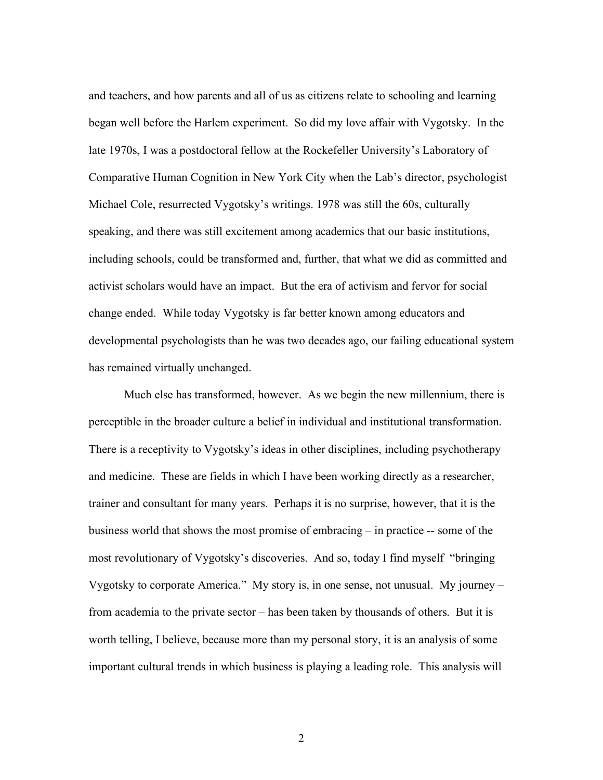and teachers, and how parents and all of us as citizens relate to schooling and learning began well before the Harlem experiment. So did my love affair with Vygotsky. In the late 1970s, I was a postdoctoral fellow at the Rockefeller University's Laboratory of Comparative Human Cognition in New York City when the Lab's director, psychologist Michael Cole, resurrected Vygotsky's writings. 1978 was still the 60s, culturally speaking, and there was still excitement among academics that our basic institutions, including schools, could be transformed and, further, that what we did as committed and activist scholars would have an impact. But the era of activism and fervor for social change ended. While today Vygotsky is far better known among educators and developmental psychologists than he was two decades ago, our failing educational system has remained virtually unchanged.

Much else has transformed, however. As we begin the new millennium, there is perceptible in the broader culture a belief in individual and institutional transformation. There is a receptivity to Vygotsky's ideas in other disciplines, including psychotherapy and medicine. These are fields in which I have been working directly as a researcher, trainer and consultant for many years. Perhaps it is no surprise, however, that it is the business world that shows the most promise of embracing – in practice -- some of the most revolutionary of Vygotsky's discoveries. And so, today I find myself "bringing Vygotsky to corporate America." My story is, in one sense, not unusual. My journey – from academia to the private sector – has been taken by thousands of others. But it is worth telling, I believe, because more than my personal story, it is an analysis of some important cultural trends in which business is playing a leading role. This analysis will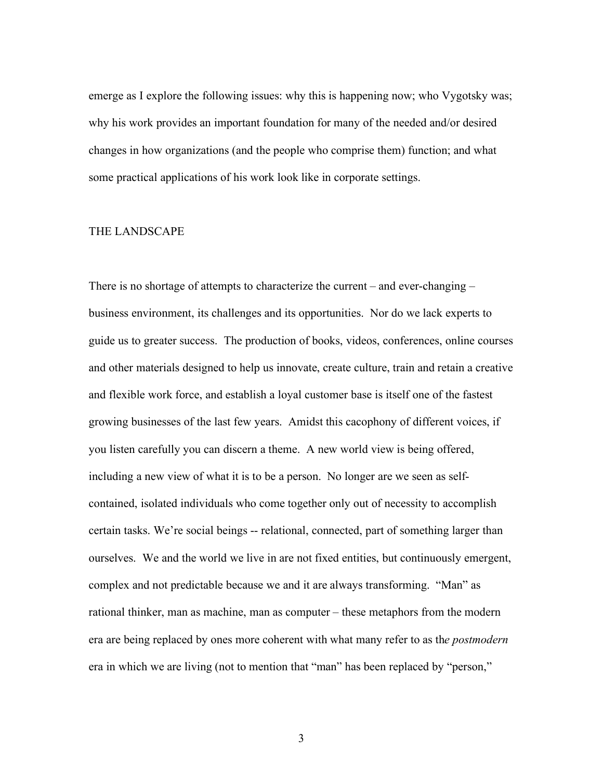emerge as I explore the following issues: why this is happening now; who Vygotsky was; why his work provides an important foundation for many of the needed and/or desired changes in how organizations (and the people who comprise them) function; and what some practical applications of his work look like in corporate settings.

#### THE LANDSCAPE

There is no shortage of attempts to characterize the current – and ever-changing – business environment, its challenges and its opportunities. Nor do we lack experts to guide us to greater success. The production of books, videos, conferences, online courses and other materials designed to help us innovate, create culture, train and retain a creative and flexible work force, and establish a loyal customer base is itself one of the fastest growing businesses of the last few years. Amidst this cacophony of different voices, if you listen carefully you can discern a theme. A new world view is being offered, including a new view of what it is to be a person. No longer are we seen as selfcontained, isolated individuals who come together only out of necessity to accomplish certain tasks. We're social beings -- relational, connected, part of something larger than ourselves. We and the world we live in are not fixed entities, but continuously emergent, complex and not predictable because we and it are always transforming. "Man" as rational thinker, man as machine, man as computer – these metaphors from the modern era are being replaced by ones more coherent with what many refer to as th*e postmodern*  era in which we are living (not to mention that "man" has been replaced by "person,"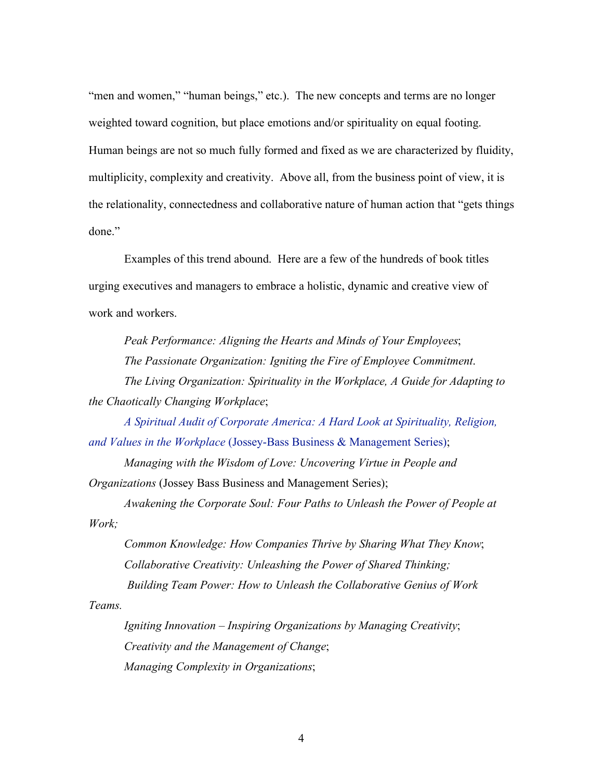"men and women," "human beings," etc.). The new concepts and terms are no longer weighted toward cognition, but place emotions and/or spirituality on equal footing. Human beings are not so much fully formed and fixed as we are characterized by fluidity, multiplicity, complexity and creativity. Above all, from the business point of view, it is the relationality, connectedness and collaborative nature of human action that "gets things done"

Examples of this trend abound. Here are a few of the hundreds of book titles urging executives and managers to embrace a holistic, dynamic and creative view of work and workers.

*Peak Performance: Aligning the Hearts and Minds of Your Employees*; *The Passionate Organization: Igniting the Fire of Employee Commitment*. *The Living Organization: Spirituality in the Workplace, A Guide for Adapting to the Chaotically Changing Workplace*;

*A Spiritual Audit of Corporate America: A Hard Look at Spirituality, Religion, and Values in the Workplace* (Jossey-Bass Business & Management Series);

*Managing with the Wisdom of Love: Uncovering Virtue in People and Organizations* (Jossey Bass Business and Management Series);

*Awakening the Corporate Soul: Four Paths to Unleash the Power of People at Work;*

*Common Knowledge: How Companies Thrive by Sharing What They Know*; *Collaborative Creativity: Unleashing the Power of Shared Thinking; Building Team Power: How to Unleash the Collaborative Genius of Work* 

*Teams.*

*Igniting Innovation – Inspiring Organizations by Managing Creativity*; *Creativity and the Management of Change*; *Managing Complexity in Organizations*;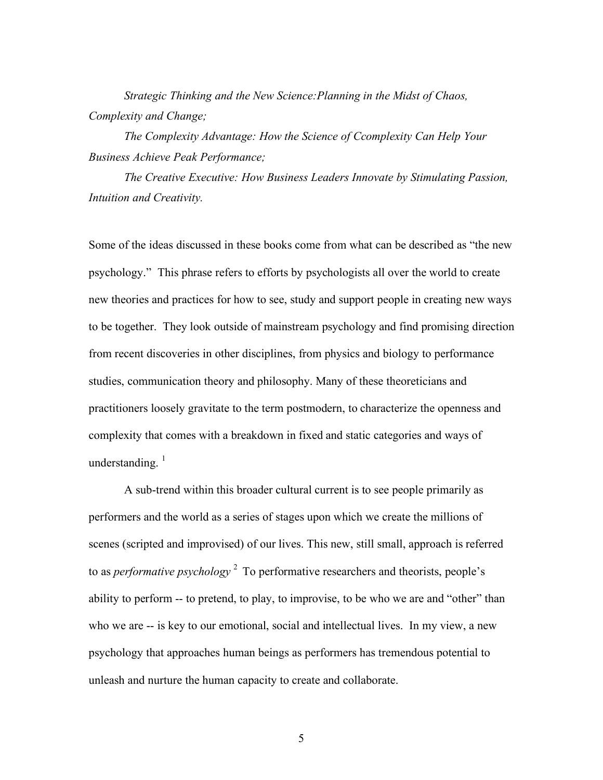*Strategic Thinking and the New Science:Planning in the Midst of Chaos, Complexity and Change;*

*The Complexity Advantage: How the Science of Ccomplexity Can Help Your Business Achieve Peak Performance;* 

*The Creative Executive: How Business Leaders Innovate by Stimulating Passion, Intuition and Creativity.* 

Some of the ideas discussed in these books come from what can be described as "the new psychology." This phrase refers to efforts by psychologists all over the world to create new theories and practices for how to see, study and support people in creating new ways to be together. They look outside of mainstream psychology and find promising direction from recent discoveries in other disciplines, from physics and biology to performance studies, communication theory and philosophy. Many of these theoreticians and practitioners loosely gravitate to the term postmodern, to characterize the openness and complexity that comes with a breakdown in fixed and static categories and ways of understanding. $1$ 

A sub-trend within this broader cultural current is to see people primarily as performers and the world as a series of stages upon which we create the millions of scenes (scripted and improvised) of our lives. This new, still small, approach is referred to as *performative psychology* 2 To performative researchers and theorists, people's ability to perform -- to pretend, to play, to improvise, to be who we are and "other" than who we are -- is key to our emotional, social and intellectual lives. In my view, a new psychology that approaches human beings as performers has tremendous potential to unleash and nurture the human capacity to create and collaborate.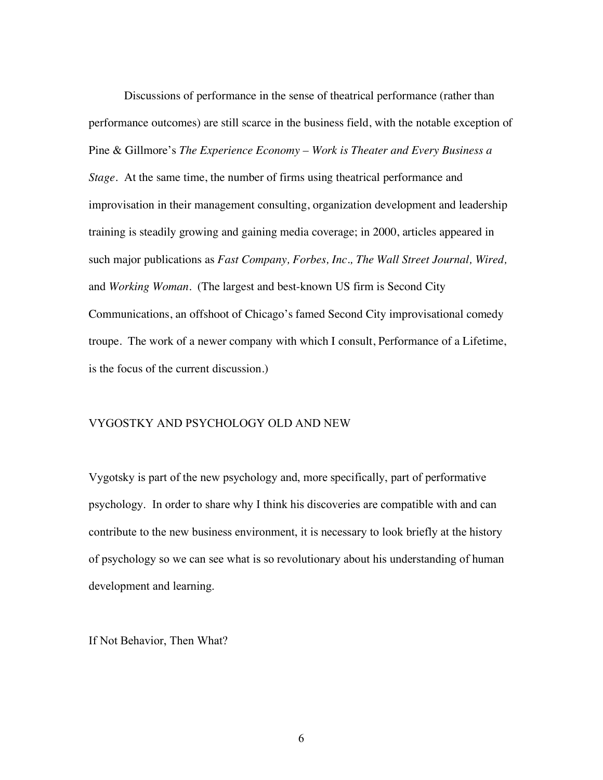Discussions of performance in the sense of theatrical performance (rather than performance outcomes) are still scarce in the business field, with the notable exception of Pine & Gillmore's *The Experience Economy – Work is Theater and Every Business a Stage*. At the same time, the number of firms using theatrical performance and improvisation in their management consulting, organization development and leadership training is steadily growing and gaining media coverage; in 2000, articles appeared in such major publications as *Fast Company, Forbes, Inc., The Wall Street Journal, Wired,*  and *Working Woman*. (The largest and best-known US firm is Second City Communications, an offshoot of Chicago's famed Second City improvisational comedy troupe. The work of a newer company with which I consult, Performance of a Lifetime, is the focus of the current discussion.)

## VYGOSTKY AND PSYCHOLOGY OLD AND NEW

Vygotsky is part of the new psychology and, more specifically, part of performative psychology. In order to share why I think his discoveries are compatible with and can contribute to the new business environment, it is necessary to look briefly at the history of psychology so we can see what is so revolutionary about his understanding of human development and learning.

If Not Behavior, Then What?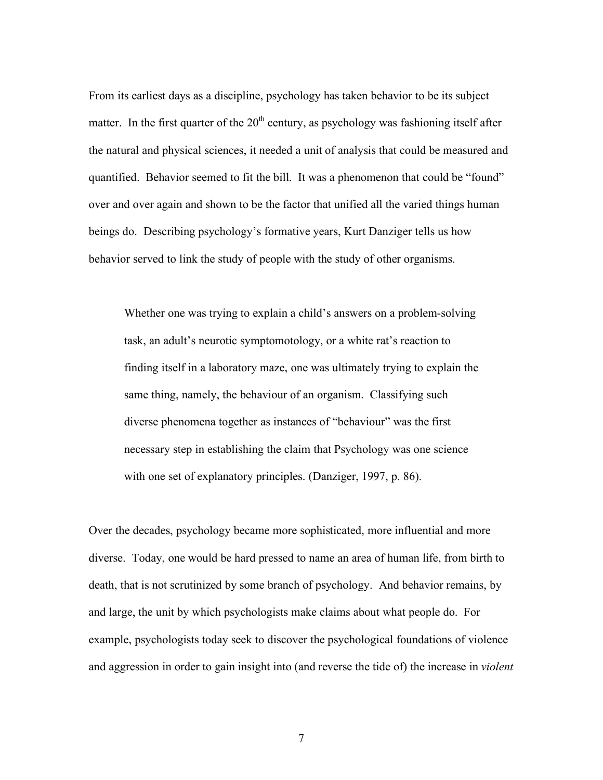From its earliest days as a discipline, psychology has taken behavior to be its subject matter. In the first quarter of the  $20<sup>th</sup>$  century, as psychology was fashioning itself after the natural and physical sciences, it needed a unit of analysis that could be measured and quantified. Behavior seemed to fit the bill. It was a phenomenon that could be "found" over and over again and shown to be the factor that unified all the varied things human beings do. Describing psychology's formative years, Kurt Danziger tells us how behavior served to link the study of people with the study of other organisms.

Whether one was trying to explain a child's answers on a problem-solving task, an adult's neurotic symptomotology, or a white rat's reaction to finding itself in a laboratory maze, one was ultimately trying to explain the same thing, namely, the behaviour of an organism. Classifying such diverse phenomena together as instances of "behaviour" was the first necessary step in establishing the claim that Psychology was one science with one set of explanatory principles. (Danziger, 1997, p. 86).

Over the decades, psychology became more sophisticated, more influential and more diverse. Today, one would be hard pressed to name an area of human life, from birth to death, that is not scrutinized by some branch of psychology. And behavior remains, by and large, the unit by which psychologists make claims about what people do. For example, psychologists today seek to discover the psychological foundations of violence and aggression in order to gain insight into (and reverse the tide of) the increase in *violent*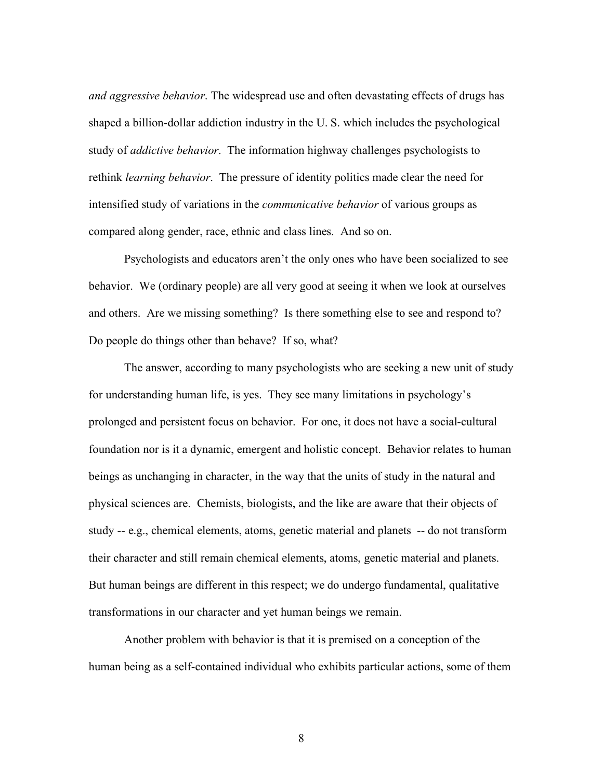*and aggressive behavior*. The widespread use and often devastating effects of drugs has shaped a billion-dollar addiction industry in the U. S. which includes the psychological study of *addictive behavior*. The information highway challenges psychologists to rethink *learning behavior*. The pressure of identity politics made clear the need for intensified study of variations in the *communicative behavior* of various groups as compared along gender, race, ethnic and class lines. And so on.

Psychologists and educators aren't the only ones who have been socialized to see behavior. We (ordinary people) are all very good at seeing it when we look at ourselves and others. Are we missing something? Is there something else to see and respond to? Do people do things other than behave? If so, what?

The answer, according to many psychologists who are seeking a new unit of study for understanding human life, is yes. They see many limitations in psychology's prolonged and persistent focus on behavior. For one, it does not have a social-cultural foundation nor is it a dynamic, emergent and holistic concept. Behavior relates to human beings as unchanging in character, in the way that the units of study in the natural and physical sciences are. Chemists, biologists, and the like are aware that their objects of study -- e.g., chemical elements, atoms, genetic material and planets -- do not transform their character and still remain chemical elements, atoms, genetic material and planets. But human beings are different in this respect; we do undergo fundamental, qualitative transformations in our character and yet human beings we remain.

Another problem with behavior is that it is premised on a conception of the human being as a self-contained individual who exhibits particular actions, some of them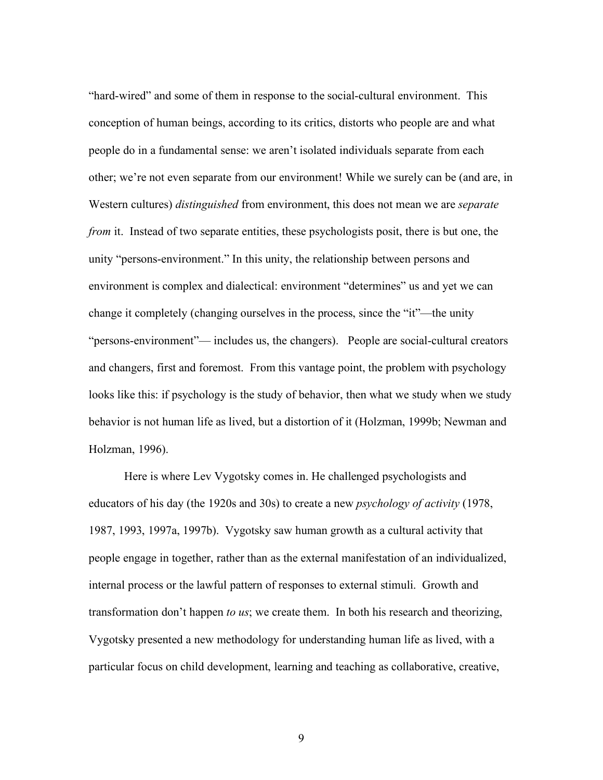"hard-wired" and some of them in response to the social-cultural environment. This conception of human beings, according to its critics, distorts who people are and what people do in a fundamental sense: we aren't isolated individuals separate from each other; we're not even separate from our environment! While we surely can be (and are, in Western cultures) *distinguished* from environment, this does not mean we are *separate from* it. Instead of two separate entities, these psychologists posit, there is but one, the unity "persons-environment." In this unity, the relationship between persons and environment is complex and dialectical: environment "determines" us and yet we can change it completely (changing ourselves in the process, since the "it"—the unity "persons-environment"— includes us, the changers). People are social-cultural creators and changers, first and foremost. From this vantage point, the problem with psychology looks like this: if psychology is the study of behavior, then what we study when we study behavior is not human life as lived, but a distortion of it (Holzman, 1999b; Newman and Holzman, 1996).

Here is where Lev Vygotsky comes in. He challenged psychologists and educators of his day (the 1920s and 30s) to create a new *psychology of activity* (1978, 1987, 1993, 1997a, 1997b). Vygotsky saw human growth as a cultural activity that people engage in together, rather than as the external manifestation of an individualized, internal process or the lawful pattern of responses to external stimuli. Growth and transformation don't happen *to us*; we create them. In both his research and theorizing, Vygotsky presented a new methodology for understanding human life as lived, with a particular focus on child development, learning and teaching as collaborative, creative,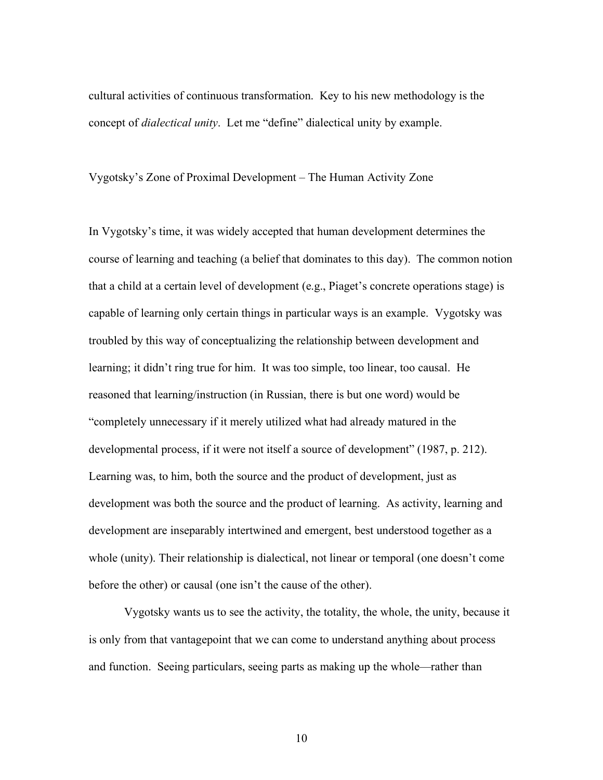cultural activities of continuous transformation. Key to his new methodology is the concept of *dialectical unity*. Let me "define" dialectical unity by example.

Vygotsky's Zone of Proximal Development – The Human Activity Zone

In Vygotsky's time, it was widely accepted that human development determines the course of learning and teaching (a belief that dominates to this day). The common notion that a child at a certain level of development (e.g., Piaget's concrete operations stage) is capable of learning only certain things in particular ways is an example. Vygotsky was troubled by this way of conceptualizing the relationship between development and learning; it didn't ring true for him. It was too simple, too linear, too causal. He reasoned that learning/instruction (in Russian, there is but one word) would be "completely unnecessary if it merely utilized what had already matured in the developmental process, if it were not itself a source of development" (1987, p. 212). Learning was, to him, both the source and the product of development, just as development was both the source and the product of learning. As activity, learning and development are inseparably intertwined and emergent, best understood together as a whole (unity). Their relationship is dialectical, not linear or temporal (one doesn't come before the other) or causal (one isn't the cause of the other).

Vygotsky wants us to see the activity, the totality, the whole, the unity, because it is only from that vantagepoint that we can come to understand anything about process and function. Seeing particulars, seeing parts as making up the whole—rather than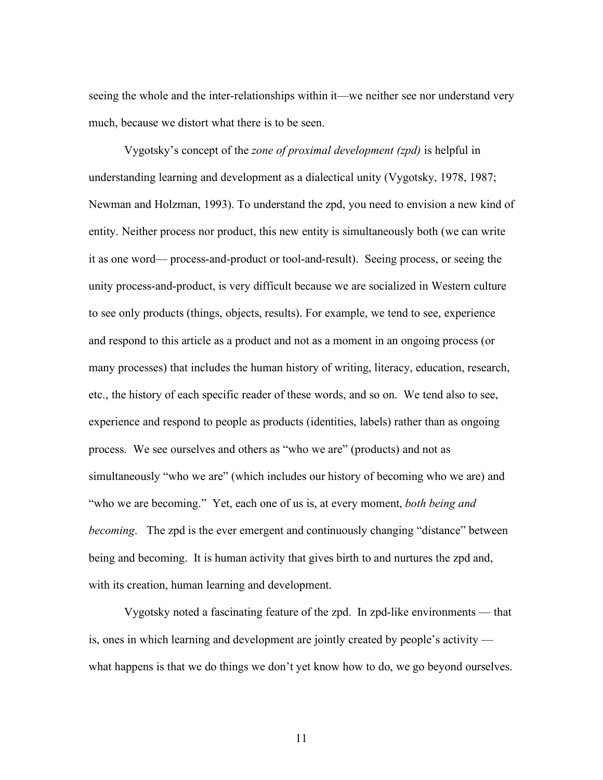seeing the whole and the inter-relationships within it—we neither see nor understand very much, because we distort what there is to be seen.

Vygotsky's concept of the *zone of proximal development (zpd)* is helpful in understanding learning and development as a dialectical unity (Vygotsky, 1978, 1987; Newman and Holzman, 1993). To understand the zpd, you need to envision a new kind of entity. Neither process nor product, this new entity is simultaneously both (we can write it as one word— process-and-product or tool-and-result). Seeing process, or seeing the unity process-and-product, is very difficult because we are socialized in Western culture to see only products (things, objects, results). For example, we tend to see, experience and respond to this article as a product and not as a moment in an ongoing process (or many processes) that includes the human history of writing, literacy, education, research, etc., the history of each specific reader of these words, and so on. We tend also to see, experience and respond to people as products (identities, labels) rather than as ongoing process. We see ourselves and others as "who we are" (products) and not as simultaneously "who we are" (which includes our history of becoming who we are) and "who we are becoming." Yet, each one of us is, at every moment, *both being and becoming*. The zpd is the ever emergent and continuously changing "distance" between being and becoming. It is human activity that gives birth to and nurtures the zpd and, with its creation, human learning and development.

Vygotsky noted a fascinating feature of the zpd. In zpd-like environments — that is, ones in which learning and development are jointly created by people's activity what happens is that we do things we don't yet know how to do, we go beyond ourselves.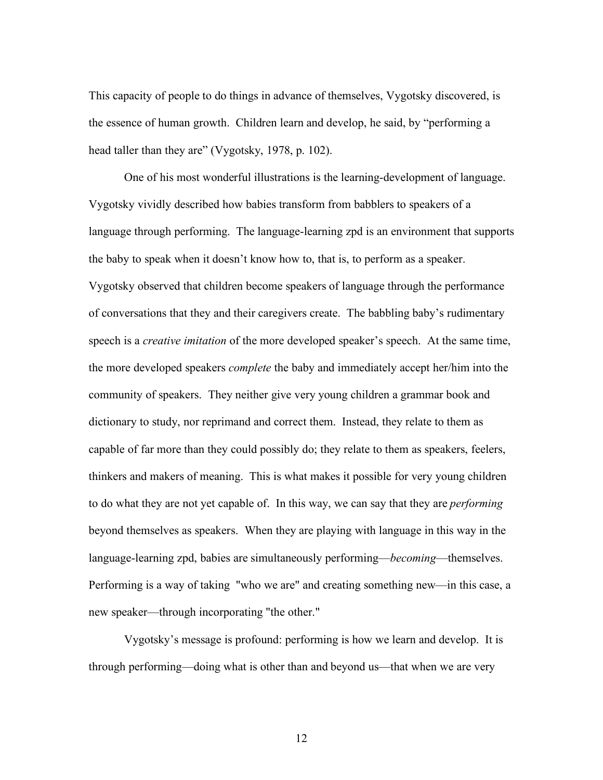This capacity of people to do things in advance of themselves, Vygotsky discovered, is the essence of human growth. Children learn and develop, he said, by "performing a head taller than they are" (Vygotsky, 1978, p. 102).

One of his most wonderful illustrations is the learning-development of language. Vygotsky vividly described how babies transform from babblers to speakers of a language through performing. The language-learning zpd is an environment that supports the baby to speak when it doesn't know how to, that is, to perform as a speaker. Vygotsky observed that children become speakers of language through the performance of conversations that they and their caregivers create. The babbling baby's rudimentary speech is a *creative imitation* of the more developed speaker's speech. At the same time, the more developed speakers *complete* the baby and immediately accept her/him into the community of speakers. They neither give very young children a grammar book and dictionary to study, nor reprimand and correct them. Instead, they relate to them as capable of far more than they could possibly do; they relate to them as speakers, feelers, thinkers and makers of meaning. This is what makes it possible for very young children to do what they are not yet capable of. In this way, we can say that they are *performing* beyond themselves as speakers. When they are playing with language in this way in the language-learning zpd, babies are simultaneously performing—*becoming*—themselves. Performing is a way of taking "who we are" and creating something new—in this case, a new speaker—through incorporating "the other."

Vygotsky's message is profound: performing is how we learn and develop. It is through performing—doing what is other than and beyond us—that when we are very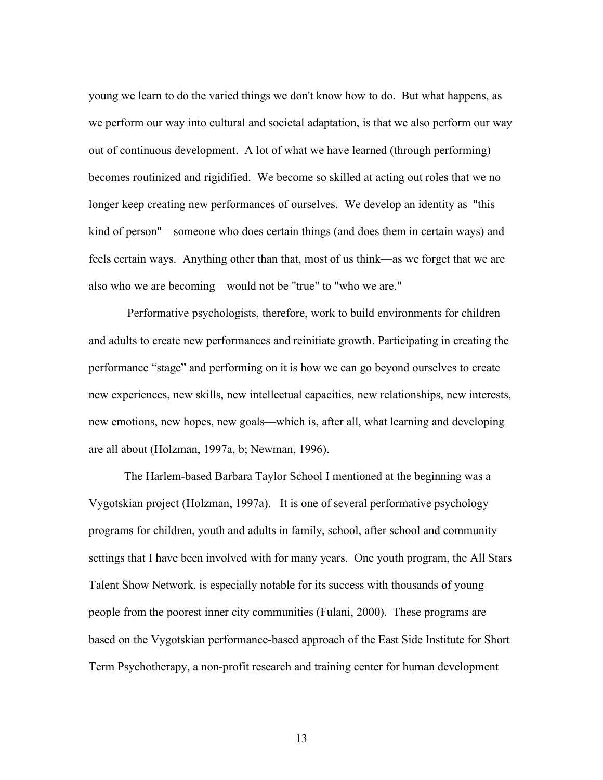young we learn to do the varied things we don't know how to do. But what happens, as we perform our way into cultural and societal adaptation, is that we also perform our way out of continuous development. A lot of what we have learned (through performing) becomes routinized and rigidified. We become so skilled at acting out roles that we no longer keep creating new performances of ourselves. We develop an identity as "this kind of person"—someone who does certain things (and does them in certain ways) and feels certain ways. Anything other than that, most of us think—as we forget that we are also who we are becoming—would not be "true" to "who we are."

 Performative psychologists, therefore, work to build environments for children and adults to create new performances and reinitiate growth. Participating in creating the performance "stage" and performing on it is how we can go beyond ourselves to create new experiences, new skills, new intellectual capacities, new relationships, new interests, new emotions, new hopes, new goals—which is, after all, what learning and developing are all about (Holzman, 1997a, b; Newman, 1996).

The Harlem-based Barbara Taylor School I mentioned at the beginning was a Vygotskian project (Holzman, 1997a). It is one of several performative psychology programs for children, youth and adults in family, school, after school and community settings that I have been involved with for many years. One youth program, the All Stars Talent Show Network, is especially notable for its success with thousands of young people from the poorest inner city communities (Fulani, 2000). These programs are based on the Vygotskian performance-based approach of the East Side Institute for Short Term Psychotherapy, a non-profit research and training center for human development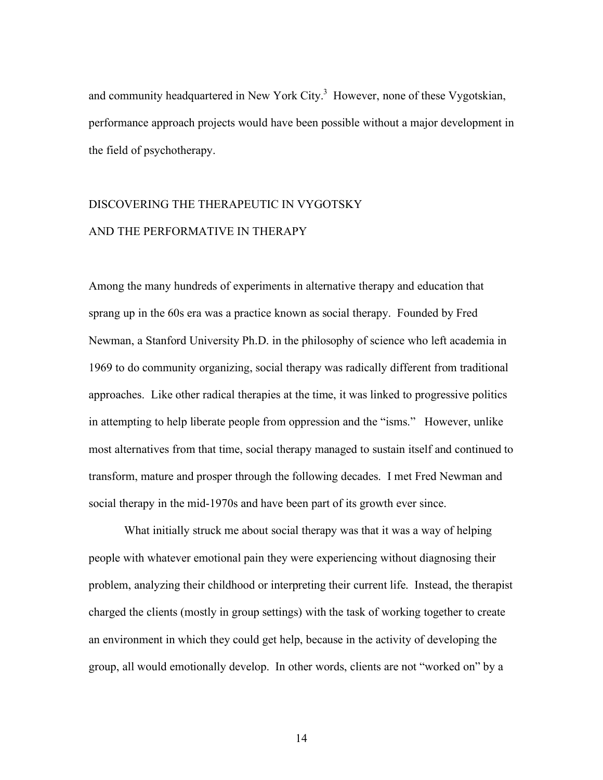and community headquartered in New York City. $3$  However, none of these Vygotskian, performance approach projects would have been possible without a major development in the field of psychotherapy.

# DISCOVERING THE THERAPEUTIC IN VYGOTSKY AND THE PERFORMATIVE IN THERAPY

Among the many hundreds of experiments in alternative therapy and education that sprang up in the 60s era was a practice known as social therapy. Founded by Fred Newman, a Stanford University Ph.D. in the philosophy of science who left academia in 1969 to do community organizing, social therapy was radically different from traditional approaches. Like other radical therapies at the time, it was linked to progressive politics in attempting to help liberate people from oppression and the "isms." However, unlike most alternatives from that time, social therapy managed to sustain itself and continued to transform, mature and prosper through the following decades. I met Fred Newman and social therapy in the mid-1970s and have been part of its growth ever since.

What initially struck me about social therapy was that it was a way of helping people with whatever emotional pain they were experiencing without diagnosing their problem, analyzing their childhood or interpreting their current life. Instead, the therapist charged the clients (mostly in group settings) with the task of working together to create an environment in which they could get help, because in the activity of developing the group, all would emotionally develop. In other words, clients are not "worked on" by a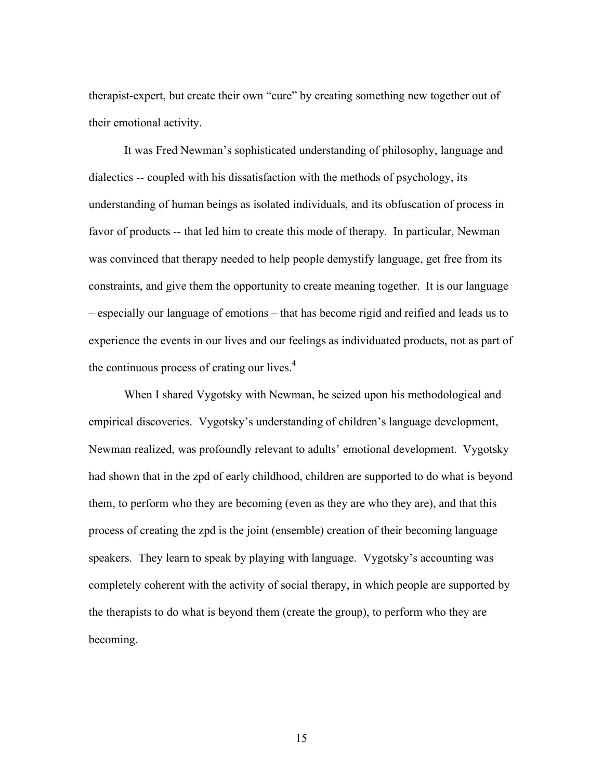therapist-expert, but create their own "cure" by creating something new together out of their emotional activity.

It was Fred Newman's sophisticated understanding of philosophy, language and dialectics -- coupled with his dissatisfaction with the methods of psychology, its understanding of human beings as isolated individuals, and its obfuscation of process in favor of products -- that led him to create this mode of therapy. In particular, Newman was convinced that therapy needed to help people demystify language, get free from its constraints, and give them the opportunity to create meaning together. It is our language – especially our language of emotions – that has become rigid and reified and leads us to experience the events in our lives and our feelings as individuated products, not as part of the continuous process of crating our lives. $4$ 

When I shared Vygotsky with Newman, he seized upon his methodological and empirical discoveries. Vygotsky's understanding of children's language development, Newman realized, was profoundly relevant to adults' emotional development. Vygotsky had shown that in the zpd of early childhood, children are supported to do what is beyond them, to perform who they are becoming (even as they are who they are), and that this process of creating the zpd is the joint (ensemble) creation of their becoming language speakers. They learn to speak by playing with language. Vygotsky's accounting was completely coherent with the activity of social therapy, in which people are supported by the therapists to do what is beyond them (create the group), to perform who they are becoming.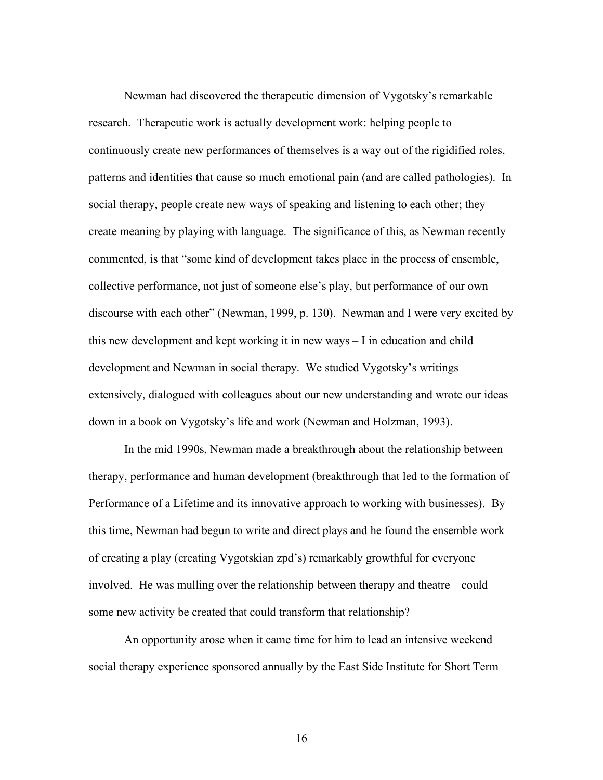Newman had discovered the therapeutic dimension of Vygotsky's remarkable research. Therapeutic work is actually development work: helping people to continuously create new performances of themselves is a way out of the rigidified roles, patterns and identities that cause so much emotional pain (and are called pathologies). In social therapy, people create new ways of speaking and listening to each other; they create meaning by playing with language. The significance of this, as Newman recently commented, is that "some kind of development takes place in the process of ensemble, collective performance, not just of someone else's play, but performance of our own discourse with each other" (Newman, 1999, p. 130). Newman and I were very excited by this new development and kept working it in new ways – I in education and child development and Newman in social therapy. We studied Vygotsky's writings extensively, dialogued with colleagues about our new understanding and wrote our ideas down in a book on Vygotsky's life and work (Newman and Holzman, 1993).

In the mid 1990s, Newman made a breakthrough about the relationship between therapy, performance and human development (breakthrough that led to the formation of Performance of a Lifetime and its innovative approach to working with businesses). By this time, Newman had begun to write and direct plays and he found the ensemble work of creating a play (creating Vygotskian zpd's) remarkably growthful for everyone involved. He was mulling over the relationship between therapy and theatre – could some new activity be created that could transform that relationship?

An opportunity arose when it came time for him to lead an intensive weekend social therapy experience sponsored annually by the East Side Institute for Short Term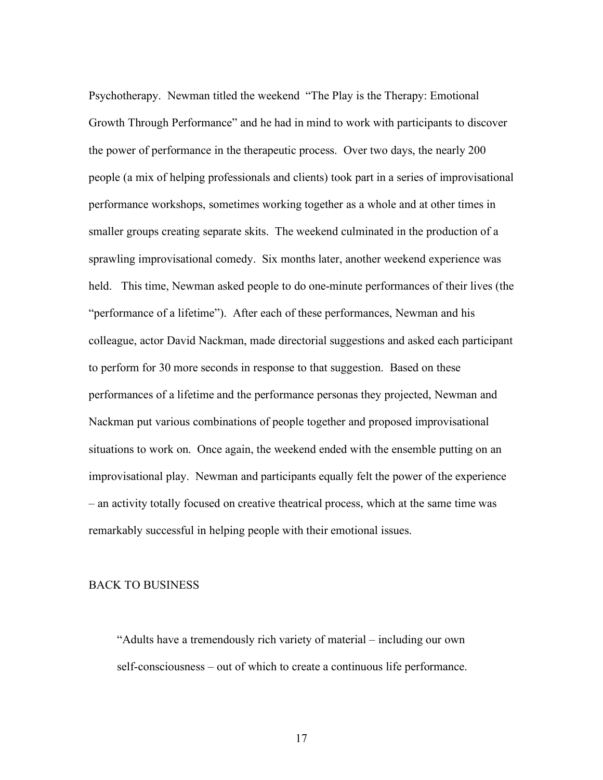Psychotherapy. Newman titled the weekend "The Play is the Therapy: Emotional Growth Through Performance" and he had in mind to work with participants to discover the power of performance in the therapeutic process. Over two days, the nearly 200 people (a mix of helping professionals and clients) took part in a series of improvisational performance workshops, sometimes working together as a whole and at other times in smaller groups creating separate skits. The weekend culminated in the production of a sprawling improvisational comedy. Six months later, another weekend experience was held. This time, Newman asked people to do one-minute performances of their lives (the "performance of a lifetime"). After each of these performances, Newman and his colleague, actor David Nackman, made directorial suggestions and asked each participant to perform for 30 more seconds in response to that suggestion. Based on these performances of a lifetime and the performance personas they projected, Newman and Nackman put various combinations of people together and proposed improvisational situations to work on. Once again, the weekend ended with the ensemble putting on an improvisational play. Newman and participants equally felt the power of the experience – an activity totally focused on creative theatrical process, which at the same time was remarkably successful in helping people with their emotional issues.

## BACK TO BUSINESS

"Adults have a tremendously rich variety of material – including our own self-consciousness – out of which to create a continuous life performance.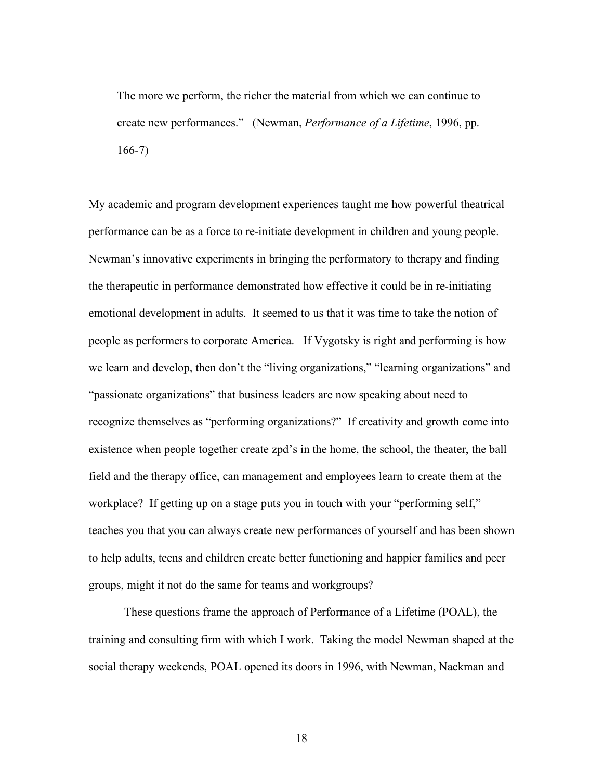The more we perform, the richer the material from which we can continue to create new performances." (Newman, *Performance of a Lifetime*, 1996, pp. 166-7)

My academic and program development experiences taught me how powerful theatrical performance can be as a force to re-initiate development in children and young people. Newman's innovative experiments in bringing the performatory to therapy and finding the therapeutic in performance demonstrated how effective it could be in re-initiating emotional development in adults. It seemed to us that it was time to take the notion of people as performers to corporate America. If Vygotsky is right and performing is how we learn and develop, then don't the "living organizations," "learning organizations" and "passionate organizations" that business leaders are now speaking about need to recognize themselves as "performing organizations?" If creativity and growth come into existence when people together create zpd's in the home, the school, the theater, the ball field and the therapy office, can management and employees learn to create them at the workplace? If getting up on a stage puts you in touch with your "performing self," teaches you that you can always create new performances of yourself and has been shown to help adults, teens and children create better functioning and happier families and peer groups, might it not do the same for teams and workgroups?

These questions frame the approach of Performance of a Lifetime (POAL), the training and consulting firm with which I work. Taking the model Newman shaped at the social therapy weekends, POAL opened its doors in 1996, with Newman, Nackman and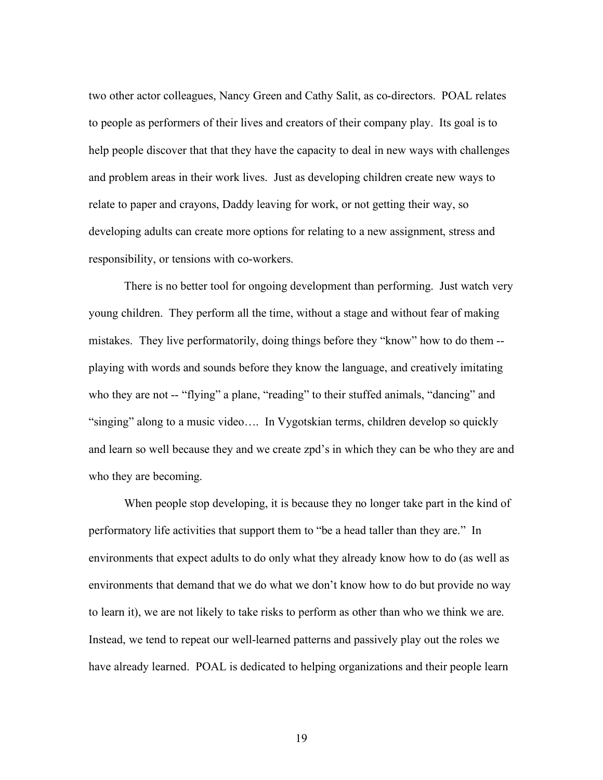two other actor colleagues, Nancy Green and Cathy Salit, as co-directors. POAL relates to people as performers of their lives and creators of their company play. Its goal is to help people discover that that they have the capacity to deal in new ways with challenges and problem areas in their work lives. Just as developing children create new ways to relate to paper and crayons, Daddy leaving for work, or not getting their way, so developing adults can create more options for relating to a new assignment, stress and responsibility, or tensions with co-workers.

There is no better tool for ongoing development than performing. Just watch very young children. They perform all the time, without a stage and without fear of making mistakes. They live performatorily, doing things before they "know" how to do them - playing with words and sounds before they know the language, and creatively imitating who they are not -- "flying" a plane, "reading" to their stuffed animals, "dancing" and "singing" along to a music video…. In Vygotskian terms, children develop so quickly and learn so well because they and we create zpd's in which they can be who they are and who they are becoming.

When people stop developing, it is because they no longer take part in the kind of performatory life activities that support them to "be a head taller than they are." In environments that expect adults to do only what they already know how to do (as well as environments that demand that we do what we don't know how to do but provide no way to learn it), we are not likely to take risks to perform as other than who we think we are. Instead, we tend to repeat our well-learned patterns and passively play out the roles we have already learned. POAL is dedicated to helping organizations and their people learn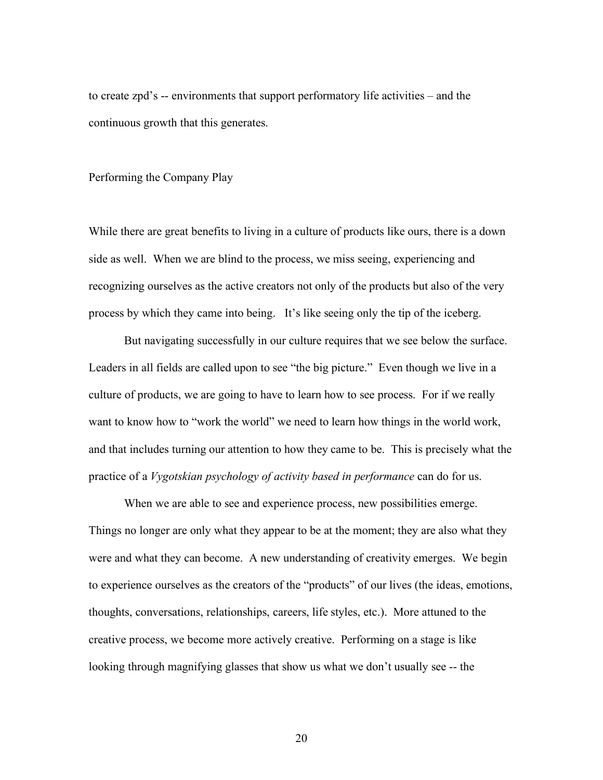to create zpd's -- environments that support performatory life activities – and the continuous growth that this generates.

#### Performing the Company Play

While there are great benefits to living in a culture of products like ours, there is a down side as well. When we are blind to the process, we miss seeing, experiencing and recognizing ourselves as the active creators not only of the products but also of the very process by which they came into being. It's like seeing only the tip of the iceberg.

But navigating successfully in our culture requires that we see below the surface. Leaders in all fields are called upon to see "the big picture." Even though we live in a culture of products, we are going to have to learn how to see process. For if we really want to know how to "work the world" we need to learn how things in the world work, and that includes turning our attention to how they came to be. This is precisely what the practice of a *Vygotskian psychology of activity based in performance* can do for us.

When we are able to see and experience process, new possibilities emerge. Things no longer are only what they appear to be at the moment; they are also what they were and what they can become. A new understanding of creativity emerges. We begin to experience ourselves as the creators of the "products" of our lives (the ideas, emotions, thoughts, conversations, relationships, careers, life styles, etc.). More attuned to the creative process, we become more actively creative. Performing on a stage is like looking through magnifying glasses that show us what we don't usually see -- the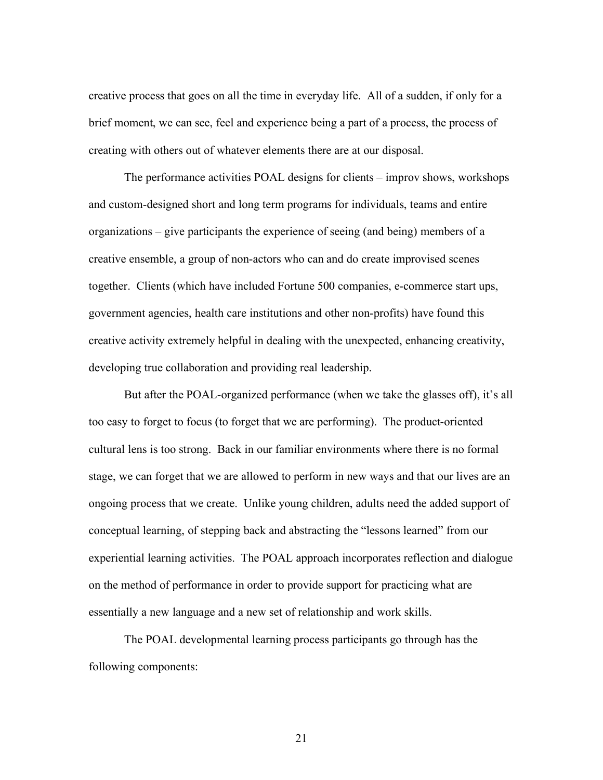creative process that goes on all the time in everyday life. All of a sudden, if only for a brief moment, we can see, feel and experience being a part of a process, the process of creating with others out of whatever elements there are at our disposal.

The performance activities POAL designs for clients – improv shows, workshops and custom-designed short and long term programs for individuals, teams and entire organizations – give participants the experience of seeing (and being) members of a creative ensemble, a group of non-actors who can and do create improvised scenes together. Clients (which have included Fortune 500 companies, e-commerce start ups, government agencies, health care institutions and other non-profits) have found this creative activity extremely helpful in dealing with the unexpected, enhancing creativity, developing true collaboration and providing real leadership.

But after the POAL-organized performance (when we take the glasses off), it's all too easy to forget to focus (to forget that we are performing). The product-oriented cultural lens is too strong. Back in our familiar environments where there is no formal stage, we can forget that we are allowed to perform in new ways and that our lives are an ongoing process that we create. Unlike young children, adults need the added support of conceptual learning, of stepping back and abstracting the "lessons learned" from our experiential learning activities. The POAL approach incorporates reflection and dialogue on the method of performance in order to provide support for practicing what are essentially a new language and a new set of relationship and work skills.

The POAL developmental learning process participants go through has the following components: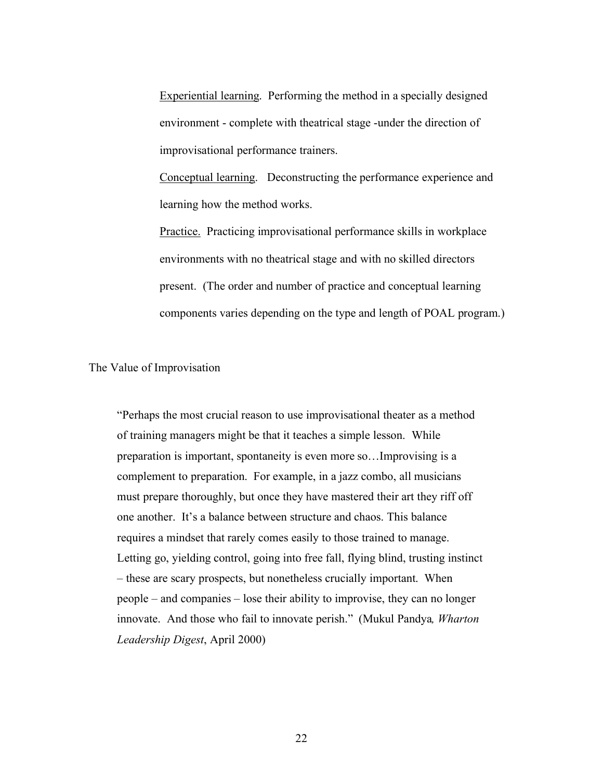Experiential learning. Performing the method in a specially designed environment - complete with theatrical stage -under the direction of improvisational performance trainers.

Conceptual learning. Deconstructing the performance experience and learning how the method works.

Practice. Practicing improvisational performance skills in workplace environments with no theatrical stage and with no skilled directors present. (The order and number of practice and conceptual learning components varies depending on the type and length of POAL program.)

The Value of Improvisation

"Perhaps the most crucial reason to use improvisational theater as a method of training managers might be that it teaches a simple lesson. While preparation is important, spontaneity is even more so…Improvising is a complement to preparation. For example, in a jazz combo, all musicians must prepare thoroughly, but once they have mastered their art they riff off one another. It's a balance between structure and chaos. This balance requires a mindset that rarely comes easily to those trained to manage. Letting go, yielding control, going into free fall, flying blind, trusting instinct – these are scary prospects, but nonetheless crucially important. When people – and companies – lose their ability to improvise, they can no longer innovate. And those who fail to innovate perish." (Mukul Pandya*, Wharton Leadership Digest*, April 2000)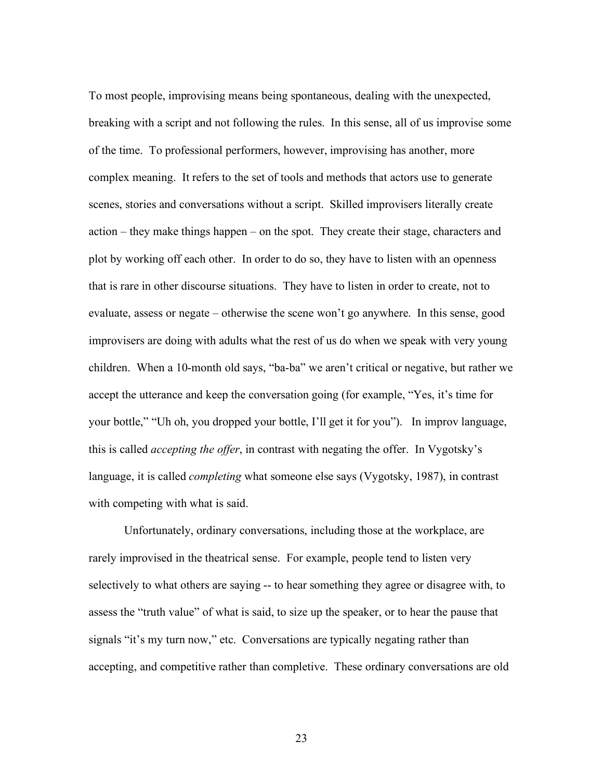To most people, improvising means being spontaneous, dealing with the unexpected, breaking with a script and not following the rules. In this sense, all of us improvise some of the time. To professional performers, however, improvising has another, more complex meaning. It refers to the set of tools and methods that actors use to generate scenes, stories and conversations without a script. Skilled improvisers literally create action – they make things happen – on the spot. They create their stage, characters and plot by working off each other. In order to do so, they have to listen with an openness that is rare in other discourse situations. They have to listen in order to create, not to evaluate, assess or negate – otherwise the scene won't go anywhere. In this sense, good improvisers are doing with adults what the rest of us do when we speak with very young children. When a 10-month old says, "ba-ba" we aren't critical or negative, but rather we accept the utterance and keep the conversation going (for example, "Yes, it's time for your bottle," "Uh oh, you dropped your bottle, I'll get it for you"). In improv language, this is called *accepting the offer*, in contrast with negating the offer. In Vygotsky's language, it is called *completing* what someone else says (Vygotsky, 1987), in contrast with competing with what is said.

Unfortunately, ordinary conversations, including those at the workplace, are rarely improvised in the theatrical sense. For example, people tend to listen very selectively to what others are saying -- to hear something they agree or disagree with, to assess the "truth value" of what is said, to size up the speaker, or to hear the pause that signals "it's my turn now," etc. Conversations are typically negating rather than accepting, and competitive rather than completive. These ordinary conversations are old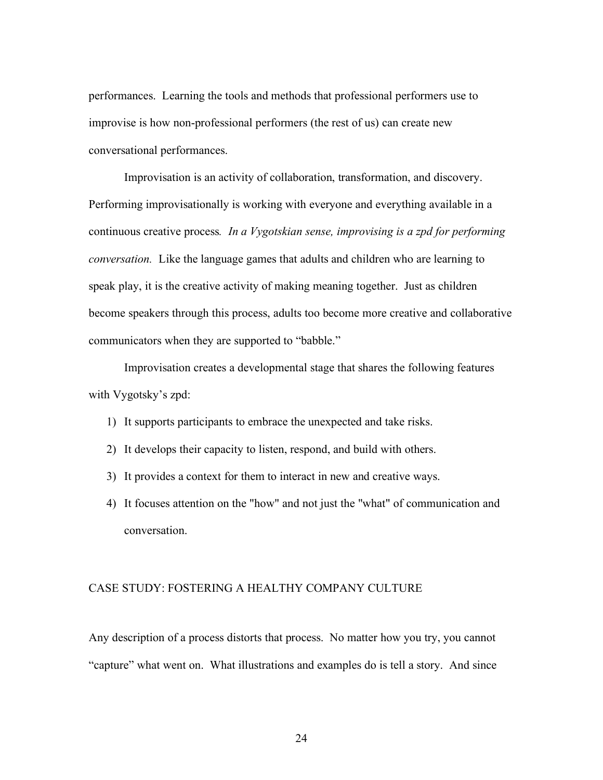performances. Learning the tools and methods that professional performers use to improvise is how non-professional performers (the rest of us) can create new conversational performances.

Improvisation is an activity of collaboration, transformation, and discovery. Performing improvisationally is working with everyone and everything available in a continuous creative process*. In a Vygotskian sense, improvising is a zpd for performing conversation.* Like the language games that adults and children who are learning to speak play, it is the creative activity of making meaning together. Just as children become speakers through this process, adults too become more creative and collaborative communicators when they are supported to "babble."

Improvisation creates a developmental stage that shares the following features with Vygotsky's zpd:

- 1) It supports participants to embrace the unexpected and take risks.
- 2) It develops their capacity to listen, respond, and build with others.
- 3) It provides a context for them to interact in new and creative ways.
- 4) It focuses attention on the "how" and not just the "what" of communication and conversation.

#### CASE STUDY: FOSTERING A HEALTHY COMPANY CULTURE

Any description of a process distorts that process. No matter how you try, you cannot "capture" what went on. What illustrations and examples do is tell a story. And since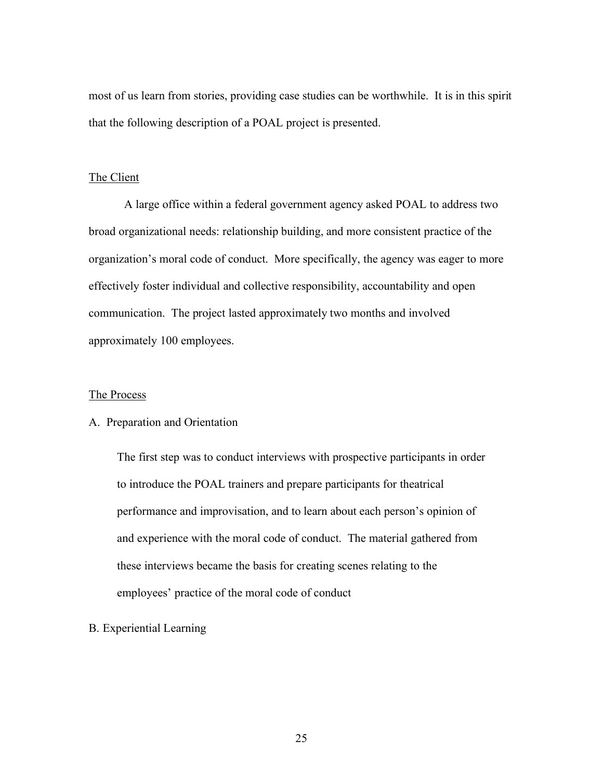most of us learn from stories, providing case studies can be worthwhile. It is in this spirit that the following description of a POAL project is presented.

#### The Client

A large office within a federal government agency asked POAL to address two broad organizational needs: relationship building, and more consistent practice of the organization's moral code of conduct. More specifically, the agency was eager to more effectively foster individual and collective responsibility, accountability and open communication. The project lasted approximately two months and involved approximately 100 employees.

#### The Process

# A. Preparation and Orientation

The first step was to conduct interviews with prospective participants in order to introduce the POAL trainers and prepare participants for theatrical performance and improvisation, and to learn about each person's opinion of and experience with the moral code of conduct. The material gathered from these interviews became the basis for creating scenes relating to the employees' practice of the moral code of conduct

#### B. Experiential Learning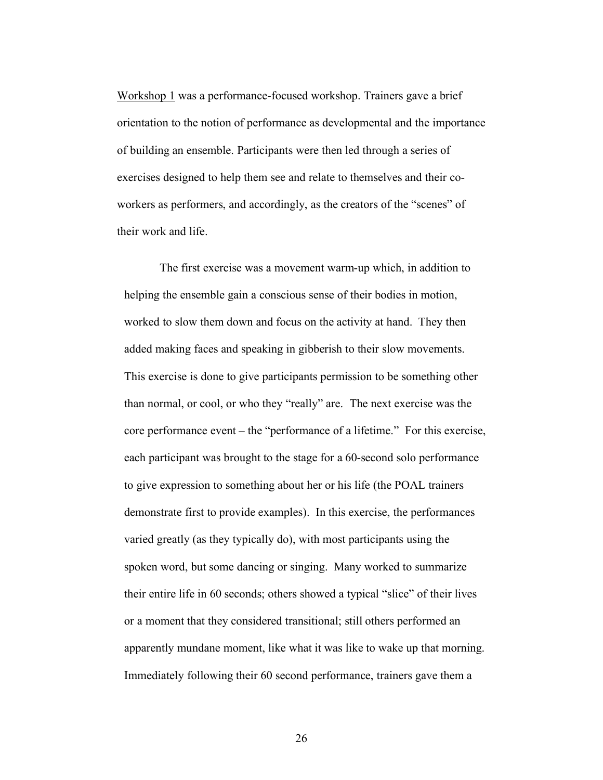Workshop 1 was a performance-focused workshop. Trainers gave a brief orientation to the notion of performance as developmental and the importance of building an ensemble. Participants were then led through a series of exercises designed to help them see and relate to themselves and their coworkers as performers, and accordingly, as the creators of the "scenes" of their work and life.

The first exercise was a movement warm-up which, in addition to helping the ensemble gain a conscious sense of their bodies in motion, worked to slow them down and focus on the activity at hand. They then added making faces and speaking in gibberish to their slow movements. This exercise is done to give participants permission to be something other than normal, or cool, or who they "really" are. The next exercise was the core performance event – the "performance of a lifetime." For this exercise, each participant was brought to the stage for a 60-second solo performance to give expression to something about her or his life (the POAL trainers demonstrate first to provide examples). In this exercise, the performances varied greatly (as they typically do), with most participants using the spoken word, but some dancing or singing. Many worked to summarize their entire life in 60 seconds; others showed a typical "slice" of their lives or a moment that they considered transitional; still others performed an apparently mundane moment, like what it was like to wake up that morning. Immediately following their 60 second performance, trainers gave them a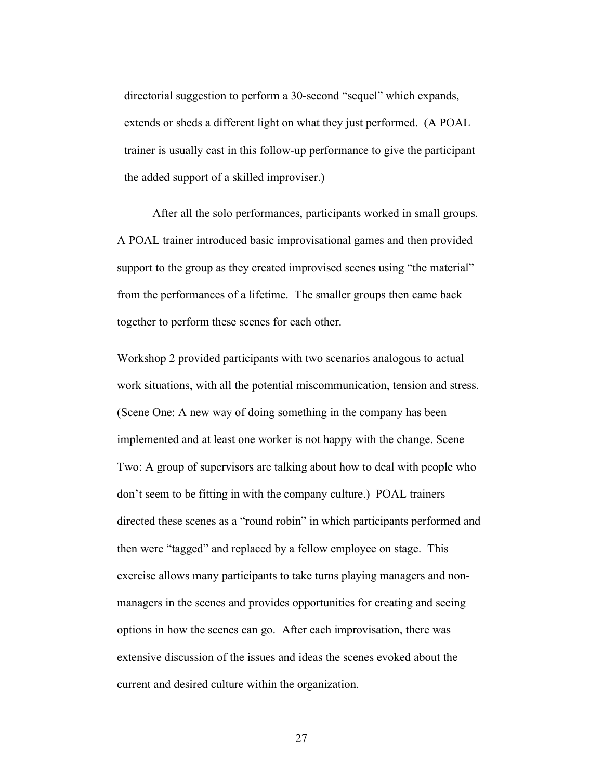directorial suggestion to perform a 30-second "sequel" which expands, extends or sheds a different light on what they just performed. (A POAL trainer is usually cast in this follow-up performance to give the participant the added support of a skilled improviser.)

After all the solo performances, participants worked in small groups. A POAL trainer introduced basic improvisational games and then provided support to the group as they created improvised scenes using "the material" from the performances of a lifetime. The smaller groups then came back together to perform these scenes for each other.

Workshop 2 provided participants with two scenarios analogous to actual work situations, with all the potential miscommunication, tension and stress. (Scene One: A new way of doing something in the company has been implemented and at least one worker is not happy with the change. Scene Two: A group of supervisors are talking about how to deal with people who don't seem to be fitting in with the company culture.) POAL trainers directed these scenes as a "round robin" in which participants performed and then were "tagged" and replaced by a fellow employee on stage. This exercise allows many participants to take turns playing managers and nonmanagers in the scenes and provides opportunities for creating and seeing options in how the scenes can go. After each improvisation, there was extensive discussion of the issues and ideas the scenes evoked about the current and desired culture within the organization.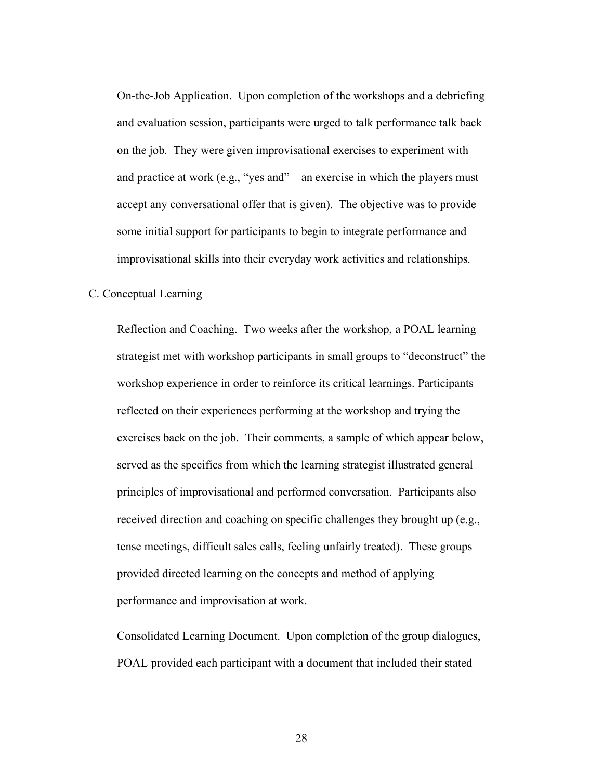On-the-Job Application. Upon completion of the workshops and a debriefing and evaluation session, participants were urged to talk performance talk back on the job. They were given improvisational exercises to experiment with and practice at work (e.g., "yes and" – an exercise in which the players must accept any conversational offer that is given). The objective was to provide some initial support for participants to begin to integrate performance and improvisational skills into their everyday work activities and relationships.

#### C. Conceptual Learning

Reflection and Coaching. Two weeks after the workshop, a POAL learning strategist met with workshop participants in small groups to "deconstruct" the workshop experience in order to reinforce its critical learnings. Participants reflected on their experiences performing at the workshop and trying the exercises back on the job. Their comments, a sample of which appear below, served as the specifics from which the learning strategist illustrated general principles of improvisational and performed conversation. Participants also received direction and coaching on specific challenges they brought up (e.g., tense meetings, difficult sales calls, feeling unfairly treated). These groups provided directed learning on the concepts and method of applying performance and improvisation at work.

Consolidated Learning Document. Upon completion of the group dialogues, POAL provided each participant with a document that included their stated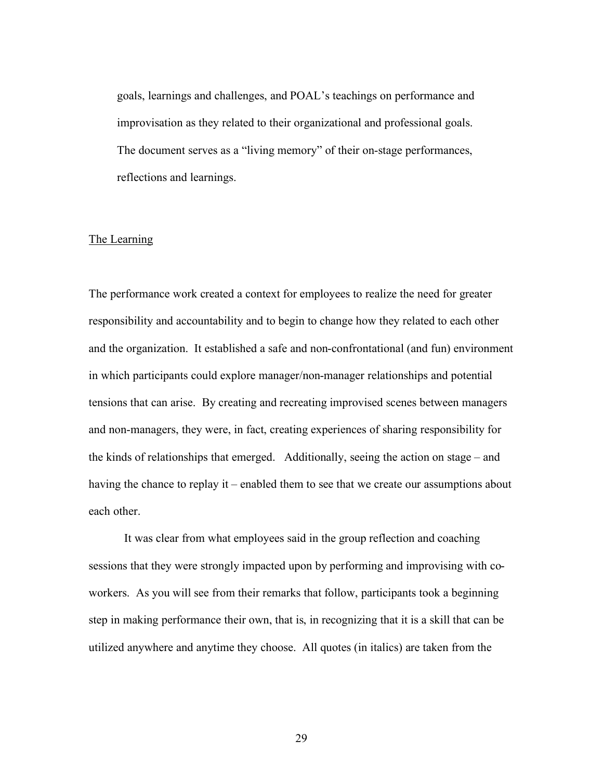goals, learnings and challenges, and POAL's teachings on performance and improvisation as they related to their organizational and professional goals. The document serves as a "living memory" of their on-stage performances, reflections and learnings.

#### The Learning

The performance work created a context for employees to realize the need for greater responsibility and accountability and to begin to change how they related to each other and the organization. It established a safe and non-confrontational (and fun) environment in which participants could explore manager/non-manager relationships and potential tensions that can arise. By creating and recreating improvised scenes between managers and non-managers, they were, in fact, creating experiences of sharing responsibility for the kinds of relationships that emerged. Additionally, seeing the action on stage – and having the chance to replay it – enabled them to see that we create our assumptions about each other.

It was clear from what employees said in the group reflection and coaching sessions that they were strongly impacted upon by performing and improvising with coworkers. As you will see from their remarks that follow, participants took a beginning step in making performance their own, that is, in recognizing that it is a skill that can be utilized anywhere and anytime they choose. All quotes (in italics) are taken from the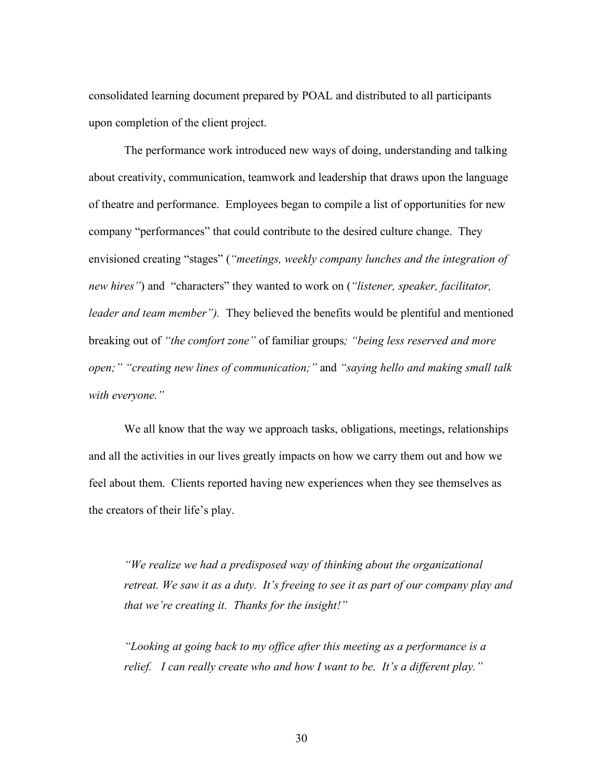consolidated learning document prepared by POAL and distributed to all participants upon completion of the client project.

The performance work introduced new ways of doing, understanding and talking about creativity, communication, teamwork and leadership that draws upon the language of theatre and performance. Employees began to compile a list of opportunities for new company "performances" that could contribute to the desired culture change. They envisioned creating "stages" (*"meetings, weekly company lunches and the integration of new hires"*) and "characters" they wanted to work on (*"listener, speaker, facilitator, leader and team member").* They believed the benefits would be plentiful and mentioned breaking out of *"the comfort zone"* of familiar groups*; "being less reserved and more open;" "creating new lines of communication;"* and *"saying hello and making small talk with everyone."*

We all know that the way we approach tasks, obligations, meetings, relationships and all the activities in our lives greatly impacts on how we carry them out and how we feel about them. Clients reported having new experiences when they see themselves as the creators of their life's play.

*"We realize we had a predisposed way of thinking about the organizational retreat. We saw it as a duty. It's freeing to see it as part of our company play and that we're creating it. Thanks for the insight!"*

*"Looking at going back to my office after this meeting as a performance is a relief. I can really create who and how I want to be. It's a different play."*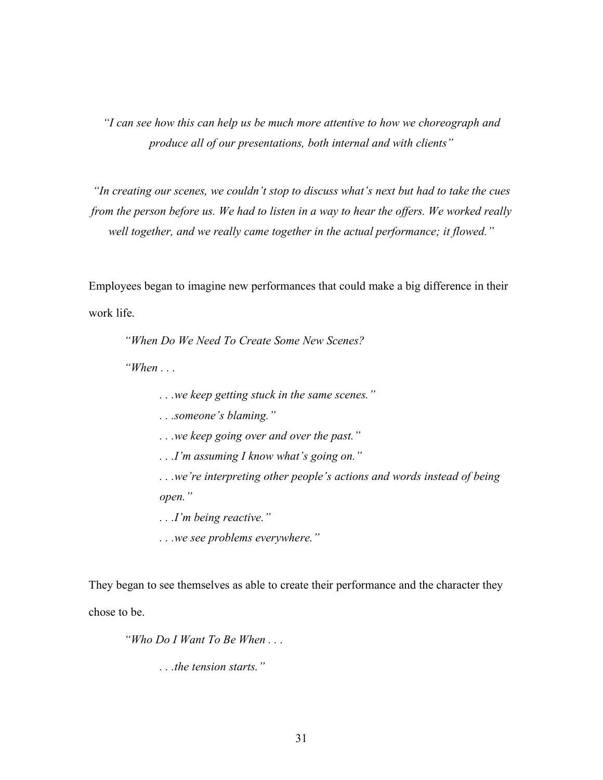*"I can see how this can help us be much more attentive to how we choreograph and produce all of our presentations, both internal and with clients"*

*"In creating our scenes, we couldn't stop to discuss what's next but had to take the cues from the person before us. We had to listen in a way to hear the offers. We worked really well together, and we really came together in the actual performance; it flowed."*

Employees began to imagine new performances that could make a big difference in their work life.

*"When Do We Need To Create Some New Scenes?*

*"When . . .* 

*. . .we keep getting stuck in the same scenes."*

*. . .someone's blaming."*

*. . .we keep going over and over the past."*

*. . .I'm assuming I know what's going on."*

*. . .we're interpreting other people's actions and words instead of being open."*

*. . .I'm being reactive."*

*. . .we see problems everywhere."*

They began to see themselves as able to create their performance and the character they

chose to be.

*"Who Do I Want To Be When . . .*

*. . .the tension starts."*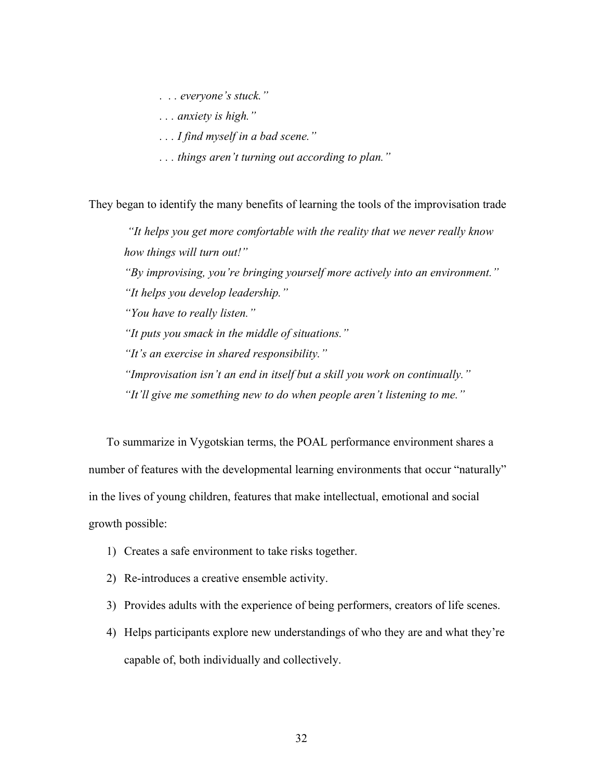*. . . everyone's stuck."*

*. . . anxiety is high."*

*. . . I find myself in a bad scene."*

*. . . things aren't turning out according to plan."*

They began to identify the many benefits of learning the tools of the improvisation trade

*"It helps you get more comfortable with the reality that we never really know how things will turn out!" "By improvising, you're bringing yourself more actively into an environment." "It helps you develop leadership." "You have to really listen." "It puts you smack in the middle of situations." "It's an exercise in shared responsibility." "Improvisation isn't an end in itself but a skill you work on continually." "It'll give me something new to do when people aren't listening to me."*

To summarize in Vygotskian terms, the POAL performance environment shares a number of features with the developmental learning environments that occur "naturally" in the lives of young children, features that make intellectual, emotional and social growth possible:

- 1) Creates a safe environment to take risks together.
- 2) Re-introduces a creative ensemble activity.
- 3) Provides adults with the experience of being performers, creators of life scenes.
- 4) Helps participants explore new understandings of who they are and what they're capable of, both individually and collectively.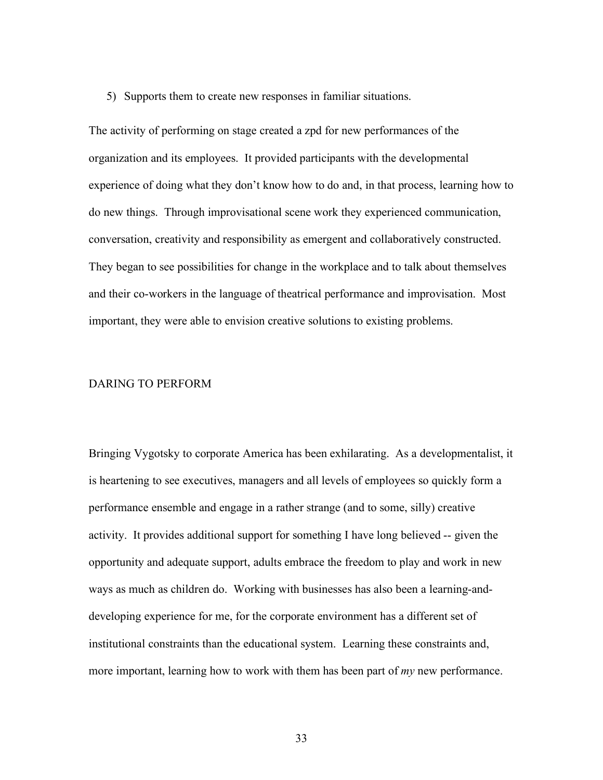5) Supports them to create new responses in familiar situations.

The activity of performing on stage created a zpd for new performances of the organization and its employees. It provided participants with the developmental experience of doing what they don't know how to do and, in that process, learning how to do new things. Through improvisational scene work they experienced communication, conversation, creativity and responsibility as emergent and collaboratively constructed. They began to see possibilities for change in the workplace and to talk about themselves and their co-workers in the language of theatrical performance and improvisation. Most important, they were able to envision creative solutions to existing problems.

#### DARING TO PERFORM

Bringing Vygotsky to corporate America has been exhilarating. As a developmentalist, it is heartening to see executives, managers and all levels of employees so quickly form a performance ensemble and engage in a rather strange (and to some, silly) creative activity. It provides additional support for something I have long believed -- given the opportunity and adequate support, adults embrace the freedom to play and work in new ways as much as children do. Working with businesses has also been a learning-anddeveloping experience for me, for the corporate environment has a different set of institutional constraints than the educational system. Learning these constraints and, more important, learning how to work with them has been part of *my* new performance.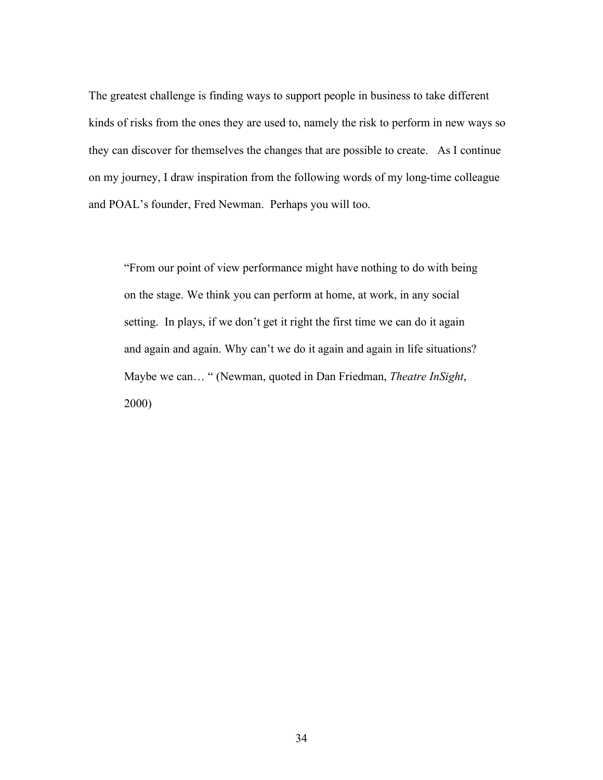The greatest challenge is finding ways to support people in business to take different kinds of risks from the ones they are used to, namely the risk to perform in new ways so they can discover for themselves the changes that are possible to create. As I continue on my journey, I draw inspiration from the following words of my long-time colleague and POAL's founder, Fred Newman. Perhaps you will too.

"From our point of view performance might have nothing to do with being on the stage. We think you can perform at home, at work, in any social setting. In plays, if we don't get it right the first time we can do it again and again and again. Why can't we do it again and again in life situations? Maybe we can… " (Newman, quoted in Dan Friedman, *Theatre InSight*, 2000)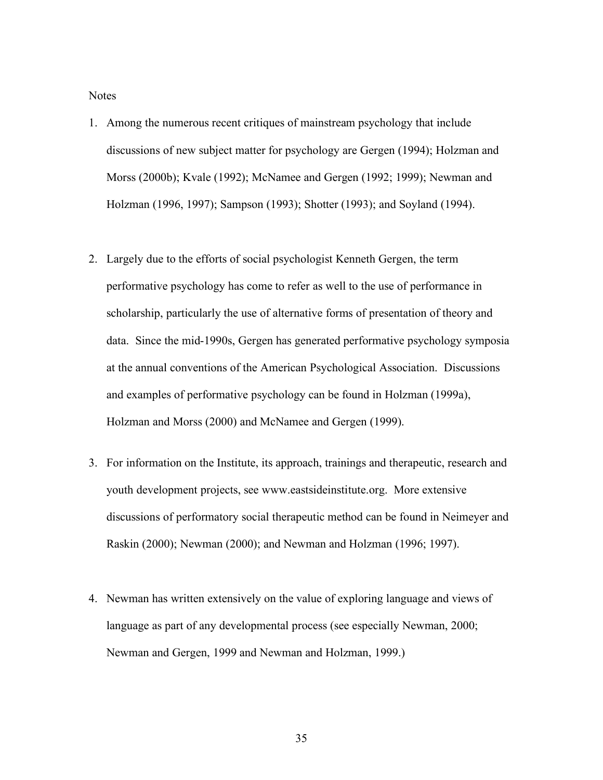**Notes** 

- 1. Among the numerous recent critiques of mainstream psychology that include discussions of new subject matter for psychology are Gergen (1994); Holzman and Morss (2000b); Kvale (1992); McNamee and Gergen (1992; 1999); Newman and Holzman (1996, 1997); Sampson (1993); Shotter (1993); and Soyland (1994).
- 2. Largely due to the efforts of social psychologist Kenneth Gergen, the term performative psychology has come to refer as well to the use of performance in scholarship, particularly the use of alternative forms of presentation of theory and data. Since the mid-1990s, Gergen has generated performative psychology symposia at the annual conventions of the American Psychological Association. Discussions and examples of performative psychology can be found in Holzman (1999a), Holzman and Morss (2000) and McNamee and Gergen (1999).
- 3. For information on the Institute, its approach, trainings and therapeutic, research and youth development projects, see www.eastsideinstitute.org. More extensive discussions of performatory social therapeutic method can be found in Neimeyer and Raskin (2000); Newman (2000); and Newman and Holzman (1996; 1997).
- 4. Newman has written extensively on the value of exploring language and views of language as part of any developmental process (see especially Newman, 2000; Newman and Gergen, 1999 and Newman and Holzman, 1999.)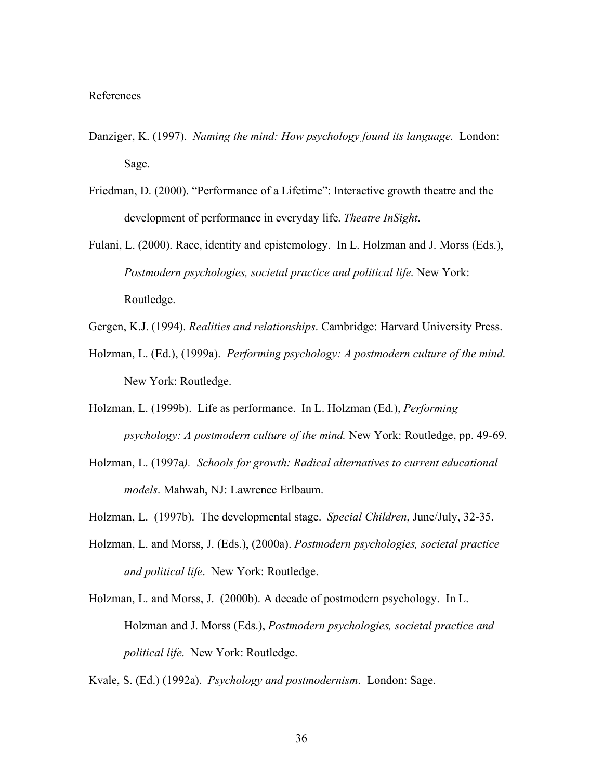#### References

- Danziger, K. (1997). *Naming the mind: How psychology found its language*. London: Sage.
- Friedman, D. (2000). "Performance of a Lifetime": Interactive growth theatre and the development of performance in everyday life. *Theatre InSight*.

Fulani, L. (2000). Race, identity and epistemology. In L. Holzman and J. Morss (Eds.), *Postmodern psychologies, societal practice and political life*. New York: Routledge.

- Gergen, K.J. (1994). *Realities and relationships*. Cambridge: Harvard University Press.
- Holzman, L. (Ed.), (1999a). *Performing psychology: A postmodern culture of the mind*. New York: Routledge.
- Holzman, L. (1999b). Life as performance. In L. Holzman (Ed.), *Performing psychology: A postmodern culture of the mind.* New York: Routledge, pp. 49-69.
- Holzman, L. (1997a*). Schools for growth: Radical alternatives to current educational models*. Mahwah, NJ: Lawrence Erlbaum.
- Holzman, L. (1997b). The developmental stage. *Special Children*, June/July, 32-35.
- Holzman, L. and Morss, J. (Eds.), (2000a). *Postmodern psychologies, societal practice and political life*. New York: Routledge.
- Holzman, L. and Morss, J. (2000b). A decade of postmodern psychology. In L. Holzman and J. Morss (Eds.), *Postmodern psychologies, societal practice and political life*. New York: Routledge.

Kvale, S. (Ed.) (1992a). *Psychology and postmodernism*. London: Sage.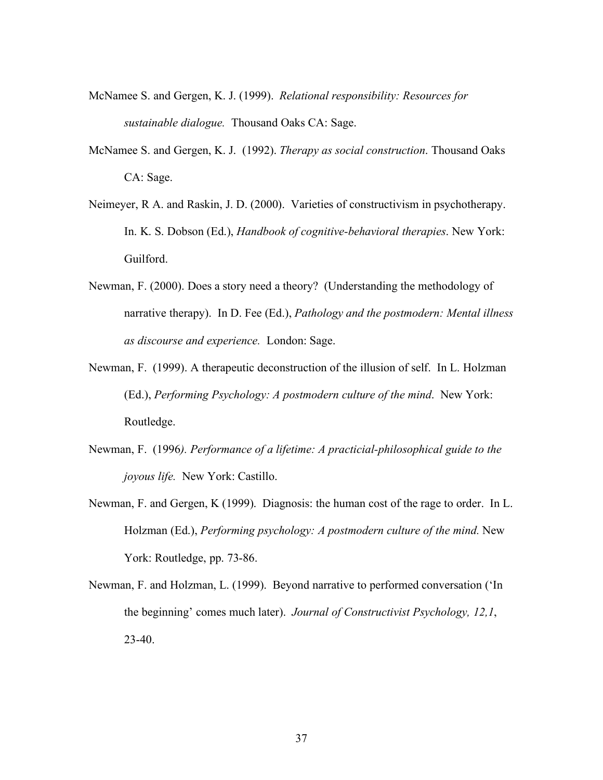- McNamee S. and Gergen, K. J. (1999). *Relational responsibility: Resources for sustainable dialogue.* Thousand Oaks CA: Sage.
- McNamee S. and Gergen, K. J. (1992). *Therapy as social construction*. Thousand Oaks CA: Sage.
- Neimeyer, R A. and Raskin, J. D. (2000). Varieties of constructivism in psychotherapy. In. K. S. Dobson (Ed.), *Handbook of cognitive-behavioral therapies*. New York: Guilford.
- Newman, F. (2000). Does a story need a theory? (Understanding the methodology of narrative therapy). In D. Fee (Ed.), *Pathology and the postmodern: Mental illness as discourse and experience.* London: Sage.
- Newman, F. (1999). A therapeutic deconstruction of the illusion of self. In L. Holzman (Ed.), *Performing Psychology: A postmodern culture of the mind*. New York: Routledge.
- Newman, F. (1996*). Performance of a lifetime: A practicial-philosophical guide to the joyous life.* New York: Castillo.
- Newman, F. and Gergen, K (1999). Diagnosis: the human cost of the rage to order. In L. Holzman (Ed.), *Performing psychology: A postmodern culture of the mind.* New York: Routledge, pp. 73-86.
- Newman, F. and Holzman, L. (1999). Beyond narrative to performed conversation ('In the beginning' comes much later). *Journal of Constructivist Psychology, 12,1*,  $23-40.$